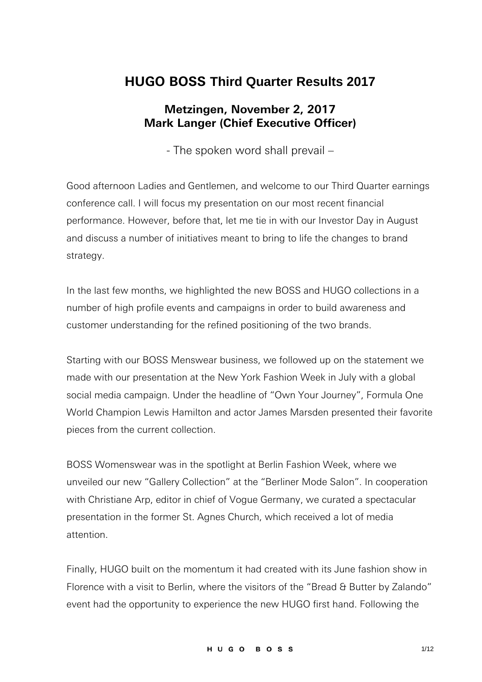## **HUGO BOSS Third Quarter Results 2017**

## **Metzingen, November 2, 2017 Mark Langer (Chief Executive Officer)**

- The spoken word shall prevail –

Good afternoon Ladies and Gentlemen, and welcome to our Third Quarter earnings conference call. I will focus my presentation on our most recent financial performance. However, before that, let me tie in with our Investor Day in August and discuss a number of initiatives meant to bring to life the changes to brand strategy.

In the last few months, we highlighted the new BOSS and HUGO collections in a number of high profile events and campaigns in order to build awareness and customer understanding for the refined positioning of the two brands.

Starting with our BOSS Menswear business, we followed up on the statement we made with our presentation at the New York Fashion Week in July with a global social media campaign. Under the headline of "Own Your Journey", Formula One World Champion Lewis Hamilton and actor James Marsden presented their favorite pieces from the current collection.

BOSS Womenswear was in the spotlight at Berlin Fashion Week, where we unveiled our new "Gallery Collection" at the "Berliner Mode Salon". In cooperation with Christiane Arp, editor in chief of Vogue Germany, we curated a spectacular presentation in the former St. Agnes Church, which received a lot of media attention.

Finally, HUGO built on the momentum it had created with its June fashion show in Florence with a visit to Berlin, where the visitors of the "Bread & Butter by Zalando" event had the opportunity to experience the new HUGO first hand. Following the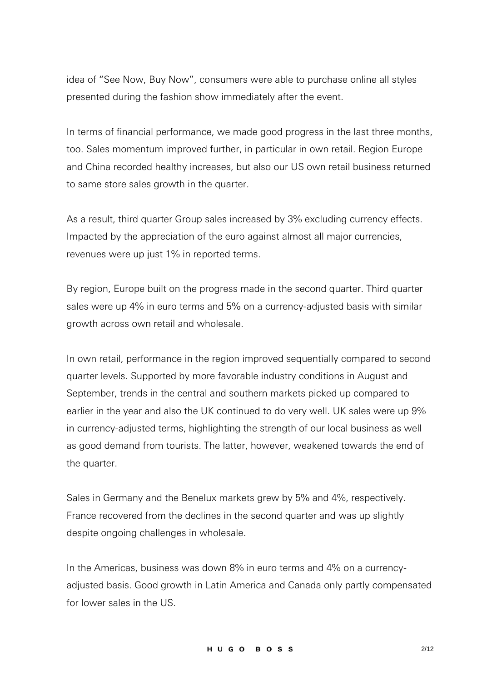idea of "See Now, Buy Now", consumers were able to purchase online all styles presented during the fashion show immediately after the event.

In terms of financial performance, we made good progress in the last three months, too. Sales momentum improved further, in particular in own retail. Region Europe and China recorded healthy increases, but also our US own retail business returned to same store sales growth in the quarter.

As a result, third quarter Group sales increased by 3% excluding currency effects. Impacted by the appreciation of the euro against almost all major currencies, revenues were up just 1% in reported terms.

By region, Europe built on the progress made in the second quarter. Third quarter sales were up 4% in euro terms and 5% on a currency-adjusted basis with similar growth across own retail and wholesale.

In own retail, performance in the region improved sequentially compared to second quarter levels. Supported by more favorable industry conditions in August and September, trends in the central and southern markets picked up compared to earlier in the year and also the UK continued to do very well. UK sales were up 9% in currency-adjusted terms, highlighting the strength of our local business as well as good demand from tourists. The latter, however, weakened towards the end of the quarter.

Sales in Germany and the Benelux markets grew by 5% and 4%, respectively. France recovered from the declines in the second quarter and was up slightly despite ongoing challenges in wholesale.

In the Americas, business was down 8% in euro terms and 4% on a currencyadjusted basis. Good growth in Latin America and Canada only partly compensated for lower sales in the US.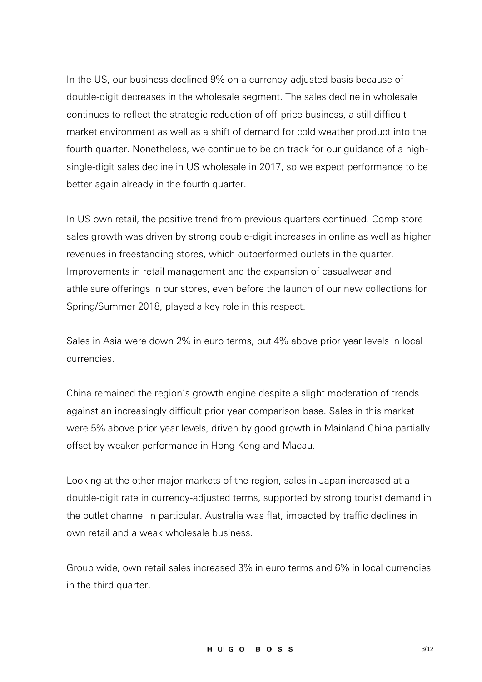In the US, our business declined 9% on a currency-adjusted basis because of double-digit decreases in the wholesale segment. The sales decline in wholesale continues to reflect the strategic reduction of off-price business, a still difficult market environment as well as a shift of demand for cold weather product into the fourth quarter. Nonetheless, we continue to be on track for our guidance of a highsingle-digit sales decline in US wholesale in 2017, so we expect performance to be better again already in the fourth quarter.

In US own retail, the positive trend from previous quarters continued. Comp store sales growth was driven by strong double-digit increases in online as well as higher revenues in freestanding stores, which outperformed outlets in the quarter. Improvements in retail management and the expansion of casualwear and athleisure offerings in our stores, even before the launch of our new collections for Spring/Summer 2018, played a key role in this respect.

Sales in Asia were down 2% in euro terms, but 4% above prior year levels in local currencies.

China remained the region's growth engine despite a slight moderation of trends against an increasingly difficult prior year comparison base. Sales in this market were 5% above prior year levels, driven by good growth in Mainland China partially offset by weaker performance in Hong Kong and Macau.

Looking at the other major markets of the region, sales in Japan increased at a double-digit rate in currency-adjusted terms, supported by strong tourist demand in the outlet channel in particular. Australia was flat, impacted by traffic declines in own retail and a weak wholesale business.

Group wide, own retail sales increased 3% in euro terms and 6% in local currencies in the third quarter.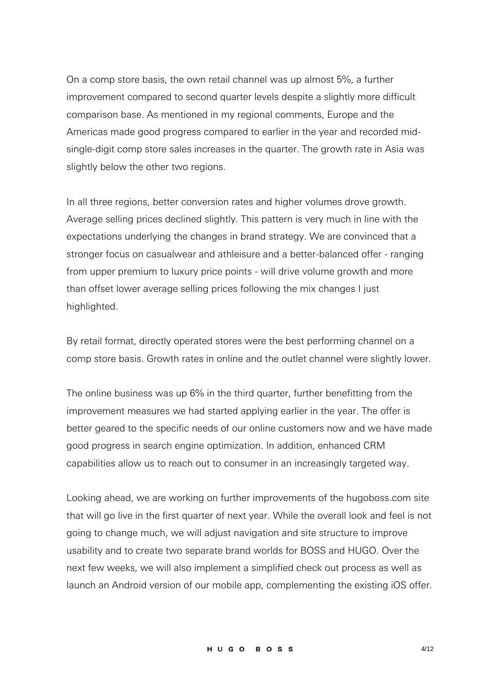On a comp store basis, the own retail channel was up almost 5%, a further improvement compared to second quarter levels despite a slightly more difficult comparison base. As mentioned in my regional comments, Europe and the Americas made good progress compared to earlier in the year and recorded midsingle-digit comp store sales increases in the quarter. The growth rate in Asia was slightly below the other two regions.

In all three regions, better conversion rates and higher volumes drove growth. Average selling prices declined slightly. This pattern is very much in line with the expectations underlying the changes in brand strategy. We are convinced that a stronger focus on casualwear and athleisure and a better-balanced offer - ranging from upper premium to luxury price points - will drive volume growth and more than offset lower average selling prices following the mix changes I just highlighted.

By retail format, directly operated stores were the best performing channel on a comp store basis. Growth rates in online and the outlet channel were slightly lower.

The online business was up 6% in the third quarter, further benefitting from the improvement measures we had started applying earlier in the year. The offer is better geared to the specific needs of our online customers now and we have made good progress in search engine optimization. In addition, enhanced CRM capabilities allow us to reach out to consumer in an increasingly targeted way.

Looking ahead, we are working on further improvements of the hugoboss.com site that will go live in the first quarter of next year. While the overall look and feel is not going to change much, we will adjust navigation and site structure to improve usability and to create two separate brand worlds for BOSS and HUGO. Over the next few weeks, we will also implement a simplified check out process as well as launch an Android version of our mobile app, complementing the existing iOS offer.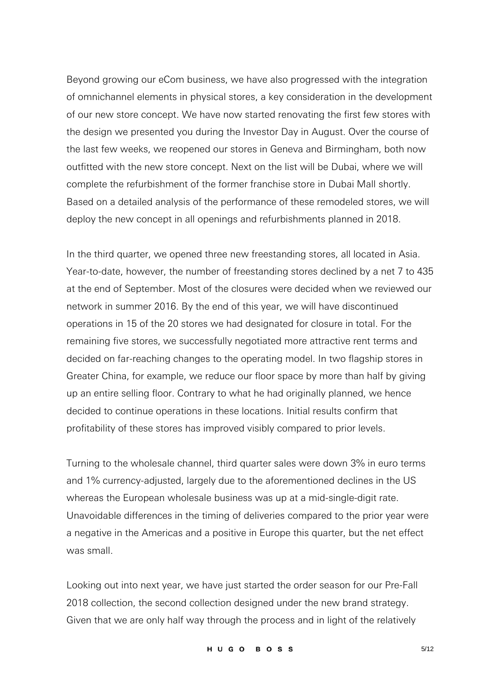Beyond growing our eCom business, we have also progressed with the integration of omnichannel elements in physical stores, a key consideration in the development of our new store concept. We have now started renovating the first few stores with the design we presented you during the Investor Day in August. Over the course of the last few weeks, we reopened our stores in Geneva and Birmingham, both now outfitted with the new store concept. Next on the list will be Dubai, where we will complete the refurbishment of the former franchise store in Dubai Mall shortly. Based on a detailed analysis of the performance of these remodeled stores, we will deploy the new concept in all openings and refurbishments planned in 2018.

In the third quarter, we opened three new freestanding stores, all located in Asia. Year-to-date, however, the number of freestanding stores declined by a net 7 to 435 at the end of September. Most of the closures were decided when we reviewed our network in summer 2016. By the end of this year, we will have discontinued operations in 15 of the 20 stores we had designated for closure in total. For the remaining five stores, we successfully negotiated more attractive rent terms and decided on far-reaching changes to the operating model. In two flagship stores in Greater China, for example, we reduce our floor space by more than half by giving up an entire selling floor. Contrary to what he had originally planned, we hence decided to continue operations in these locations. Initial results confirm that profitability of these stores has improved visibly compared to prior levels.

Turning to the wholesale channel, third quarter sales were down 3% in euro terms and 1% currency-adjusted, largely due to the aforementioned declines in the US whereas the European wholesale business was up at a mid-single-digit rate. Unavoidable differences in the timing of deliveries compared to the prior year were a negative in the Americas and a positive in Europe this quarter, but the net effect was small.

Looking out into next year, we have just started the order season for our Pre-Fall 2018 collection, the second collection designed under the new brand strategy. Given that we are only half way through the process and in light of the relatively

HUGO BOSS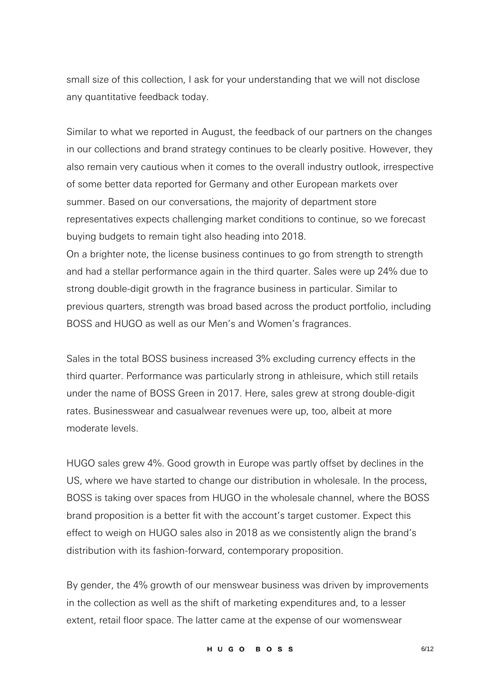small size of this collection, I ask for your understanding that we will not disclose any quantitative feedback today.

Similar to what we reported in August, the feedback of our partners on the changes in our collections and brand strategy continues to be clearly positive. However, they also remain very cautious when it comes to the overall industry outlook, irrespective of some better data reported for Germany and other European markets over summer. Based on our conversations, the majority of department store representatives expects challenging market conditions to continue, so we forecast buying budgets to remain tight also heading into 2018.

On a brighter note, the license business continues to go from strength to strength and had a stellar performance again in the third quarter. Sales were up 24% due to strong double-digit growth in the fragrance business in particular. Similar to previous quarters, strength was broad based across the product portfolio, including BOSS and HUGO as well as our Men's and Women's fragrances.

Sales in the total BOSS business increased 3% excluding currency effects in the third quarter. Performance was particularly strong in athleisure, which still retails under the name of BOSS Green in 2017. Here, sales grew at strong double-digit rates. Businesswear and casualwear revenues were up, too, albeit at more moderate levels.

HUGO sales grew 4%. Good growth in Europe was partly offset by declines in the US, where we have started to change our distribution in wholesale. In the process, BOSS is taking over spaces from HUGO in the wholesale channel, where the BOSS brand proposition is a better fit with the account's target customer. Expect this effect to weigh on HUGO sales also in 2018 as we consistently align the brand's distribution with its fashion-forward, contemporary proposition.

By gender, the 4% growth of our menswear business was driven by improvements in the collection as well as the shift of marketing expenditures and, to a lesser extent, retail floor space. The latter came at the expense of our womenswear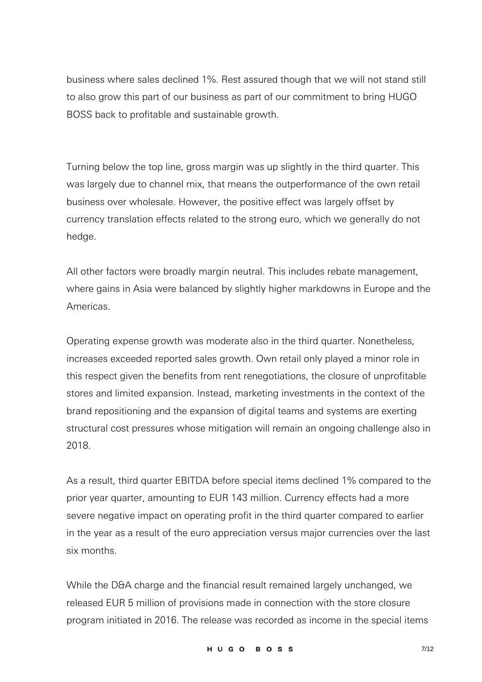business where sales declined 1%. Rest assured though that we will not stand still to also grow this part of our business as part of our commitment to bring HUGO BOSS back to profitable and sustainable growth.

Turning below the top line, gross margin was up slightly in the third quarter. This was largely due to channel mix, that means the outperformance of the own retail business over wholesale. However, the positive effect was largely offset by currency translation effects related to the strong euro, which we generally do not hedge.

All other factors were broadly margin neutral. This includes rebate management, where gains in Asia were balanced by slightly higher markdowns in Europe and the Americas.

Operating expense growth was moderate also in the third quarter. Nonetheless, increases exceeded reported sales growth. Own retail only played a minor role in this respect given the benefits from rent renegotiations, the closure of unprofitable stores and limited expansion. Instead, marketing investments in the context of the brand repositioning and the expansion of digital teams and systems are exerting structural cost pressures whose mitigation will remain an ongoing challenge also in 2018.

As a result, third quarter EBITDA before special items declined 1% compared to the prior year quarter, amounting to EUR 143 million. Currency effects had a more severe negative impact on operating profit in the third quarter compared to earlier in the year as a result of the euro appreciation versus major currencies over the last six months.

While the D&A charge and the financial result remained largely unchanged, we released EUR 5 million of provisions made in connection with the store closure program initiated in 2016. The release was recorded as income in the special items

HUGO BOSS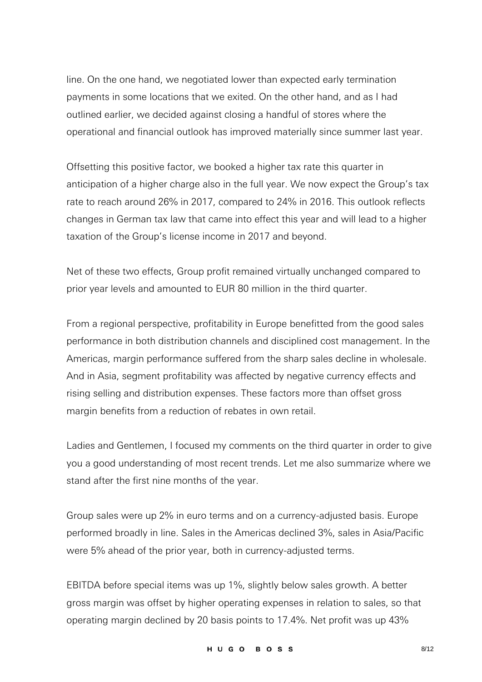line. On the one hand, we negotiated lower than expected early termination payments in some locations that we exited. On the other hand, and as I had outlined earlier, we decided against closing a handful of stores where the operational and financial outlook has improved materially since summer last year.

Offsetting this positive factor, we booked a higher tax rate this quarter in anticipation of a higher charge also in the full year. We now expect the Group's tax rate to reach around 26% in 2017, compared to 24% in 2016. This outlook reflects changes in German tax law that came into effect this year and will lead to a higher taxation of the Group's license income in 2017 and beyond.

Net of these two effects, Group profit remained virtually unchanged compared to prior year levels and amounted to EUR 80 million in the third quarter.

From a regional perspective, profitability in Europe benefitted from the good sales performance in both distribution channels and disciplined cost management. In the Americas, margin performance suffered from the sharp sales decline in wholesale. And in Asia, segment profitability was affected by negative currency effects and rising selling and distribution expenses. These factors more than offset gross margin benefits from a reduction of rebates in own retail.

Ladies and Gentlemen, I focused my comments on the third quarter in order to give you a good understanding of most recent trends. Let me also summarize where we stand after the first nine months of the year.

Group sales were up 2% in euro terms and on a currency-adjusted basis. Europe performed broadly in line. Sales in the Americas declined 3%, sales in Asia/Pacific were 5% ahead of the prior year, both in currency-adjusted terms.

EBITDA before special items was up 1%, slightly below sales growth. A better gross margin was offset by higher operating expenses in relation to sales, so that operating margin declined by 20 basis points to 17.4%. Net profit was up 43%

HUGO BOSS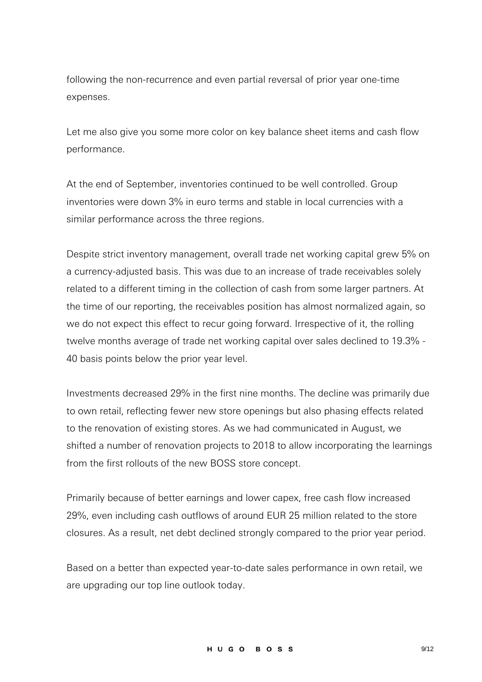following the non-recurrence and even partial reversal of prior year one-time expenses.

Let me also give you some more color on key balance sheet items and cash flow performance.

At the end of September, inventories continued to be well controlled. Group inventories were down 3% in euro terms and stable in local currencies with a similar performance across the three regions.

Despite strict inventory management, overall trade net working capital grew 5% on a currency-adjusted basis. This was due to an increase of trade receivables solely related to a different timing in the collection of cash from some larger partners. At the time of our reporting, the receivables position has almost normalized again, so we do not expect this effect to recur going forward. Irrespective of it, the rolling twelve months average of trade net working capital over sales declined to 19.3% - 40 basis points below the prior year level.

Investments decreased 29% in the first nine months. The decline was primarily due to own retail, reflecting fewer new store openings but also phasing effects related to the renovation of existing stores. As we had communicated in August, we shifted a number of renovation projects to 2018 to allow incorporating the learnings from the first rollouts of the new BOSS store concept.

Primarily because of better earnings and lower capex, free cash flow increased 29%, even including cash outflows of around EUR 25 million related to the store closures. As a result, net debt declined strongly compared to the prior year period.

Based on a better than expected year-to-date sales performance in own retail, we are upgrading our top line outlook today.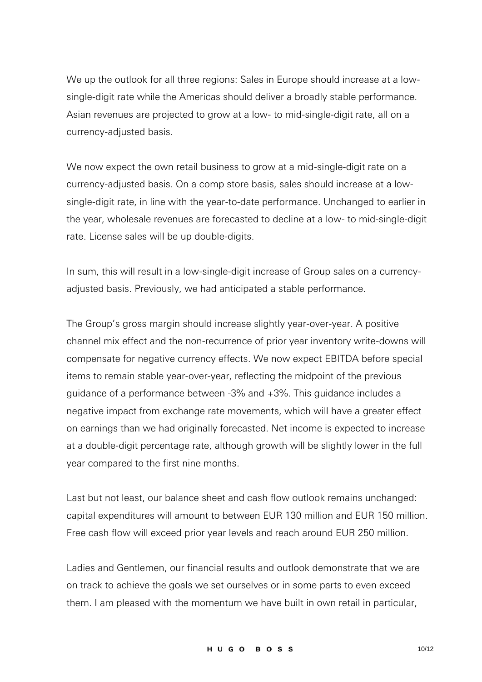We up the outlook for all three regions: Sales in Europe should increase at a lowsingle-digit rate while the Americas should deliver a broadly stable performance. Asian revenues are projected to grow at a low- to mid-single-digit rate, all on a currency-adjusted basis.

We now expect the own retail business to grow at a mid-single-digit rate on a currency-adjusted basis. On a comp store basis, sales should increase at a lowsingle-digit rate, in line with the year-to-date performance. Unchanged to earlier in the year, wholesale revenues are forecasted to decline at a low- to mid-single-digit rate. License sales will be up double-digits.

In sum, this will result in a low-single-digit increase of Group sales on a currencyadjusted basis. Previously, we had anticipated a stable performance.

The Group's gross margin should increase slightly year-over-year. A positive channel mix effect and the non-recurrence of prior year inventory write-downs will compensate for negative currency effects. We now expect EBITDA before special items to remain stable year-over-year, reflecting the midpoint of the previous guidance of a performance between -3% and +3%. This guidance includes a negative impact from exchange rate movements, which will have a greater effect on earnings than we had originally forecasted. Net income is expected to increase at a double-digit percentage rate, although growth will be slightly lower in the full year compared to the first nine months.

Last but not least, our balance sheet and cash flow outlook remains unchanged: capital expenditures will amount to between EUR 130 million and EUR 150 million. Free cash flow will exceed prior year levels and reach around EUR 250 million.

Ladies and Gentlemen, our financial results and outlook demonstrate that we are on track to achieve the goals we set ourselves or in some parts to even exceed them. I am pleased with the momentum we have built in own retail in particular,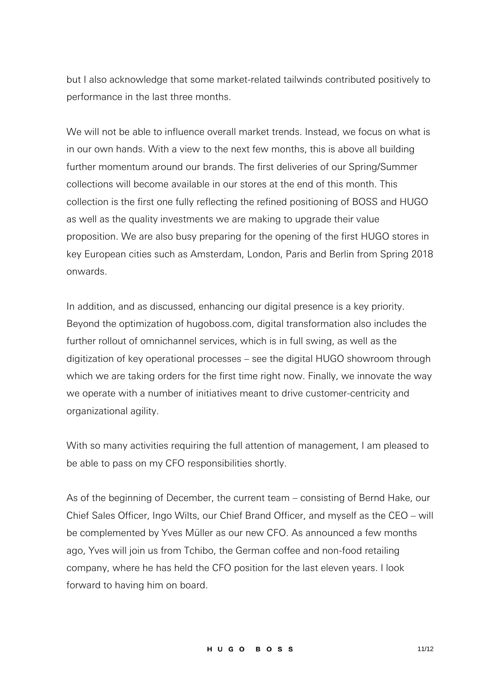but I also acknowledge that some market-related tailwinds contributed positively to performance in the last three months.

We will not be able to influence overall market trends. Instead, we focus on what is in our own hands. With a view to the next few months, this is above all building further momentum around our brands. The first deliveries of our Spring/Summer collections will become available in our stores at the end of this month. This collection is the first one fully reflecting the refined positioning of BOSS and HUGO as well as the quality investments we are making to upgrade their value proposition. We are also busy preparing for the opening of the first HUGO stores in key European cities such as Amsterdam, London, Paris and Berlin from Spring 2018 onwards.

In addition, and as discussed, enhancing our digital presence is a key priority. Beyond the optimization of hugoboss.com, digital transformation also includes the further rollout of omnichannel services, which is in full swing, as well as the digitization of key operational processes – see the digital HUGO showroom through which we are taking orders for the first time right now. Finally, we innovate the way we operate with a number of initiatives meant to drive customer-centricity and organizational agility.

With so many activities requiring the full attention of management, I am pleased to be able to pass on my CFO responsibilities shortly.

As of the beginning of December, the current team – consisting of Bernd Hake, our Chief Sales Officer, Ingo Wilts, our Chief Brand Officer, and myself as the CEO – will be complemented by Yves Müller as our new CFO. As announced a few months ago, Yves will join us from Tchibo, the German coffee and non-food retailing company, where he has held the CFO position for the last eleven years. I look forward to having him on board.